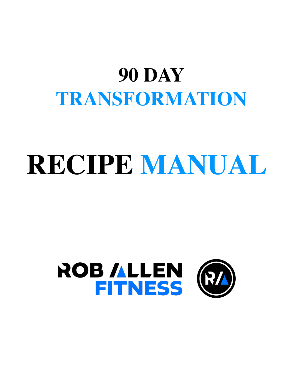# **90 DAY TRANSFORMATION**

# **RECIPE MANUAL**

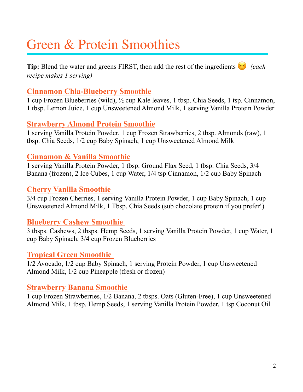### Green & Protein Smoothies

**Tip:** Blend the water and greens FIRST, then add the rest of the ingredients  $\hat{\epsilon}$  *(each \) recipe makes 1 serving)*

#### **Cinnamon Chia-Blueberry Smoothie**

1 cup Frozen Blueberries (wild), ½ cup Kale leaves, 1 tbsp. Chia Seeds, 1 tsp. Cinnamon, 1 tbsp. Lemon Juice, 1 cup Unsweetened Almond Milk, 1 serving Vanilla Protein Powder

#### **Strawberry Almond Protein Smoothie**

1 serving Vanilla Protein Powder, 1 cup Frozen Strawberries, 2 tbsp. Almonds (raw), 1 tbsp. Chia Seeds, 1/2 cup Baby Spinach, 1 cup Unsweetened Almond Milk

#### **Cinnamon & Vanilla Smoothie**

1 serving Vanilla Protein Powder, 1 tbsp. Ground Flax Seed, 1 tbsp. Chia Seeds, 3/4 Banana (frozen), 2 Ice Cubes, 1 cup Water, 1/4 tsp Cinnamon, 1/2 cup Baby Spinach

#### **Cherry Vanilla Smoothie**

3/4 cup Frozen Cherries, 1 serving Vanilla Protein Powder, 1 cup Baby Spinach, 1 cup Unsweetened Almond Milk, 1 Tbsp. Chia Seeds (sub chocolate protein if you prefer!)

#### **Blueberry Cashew Smoothie**

3 tbsps. Cashews, 2 tbsps. Hemp Seeds, 1 serving Vanilla Protein Powder, 1 cup Water, 1 cup Baby Spinach, 3/4 cup Frozen Blueberries

#### **Tropical Green Smoothie**

1/2 Avocado, 1/2 cup Baby Spinach, 1 serving Protein Powder, 1 cup Unsweetened Almond Milk, 1/2 cup Pineapple (fresh or frozen)

#### **Strawberry Banana Smoothie**

1 cup Frozen Strawberries, 1/2 Banana, 2 tbsps. Oats (Gluten-Free), 1 cup Unsweetened Almond Milk, 1 tbsp. Hemp Seeds, 1 serving Vanilla Protein Powder, 1 tsp Coconut Oil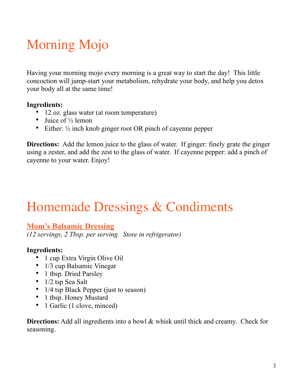## Morning Mojo

Having your morning mojo every morning is a great way to start the day! This little concoction will jump-start your metabolism, rehydrate your body, and help you detox your body all at the same time!

#### **Ingredients:**

- 12 oz. glass water (at room temperature)
- Juice of  $\frac{1}{2}$  lemon
- Either:  $\frac{1}{2}$  inch knob ginger root OR pinch of cayenne pepper

**Directions:** Add the lemon juice to the glass of water. If ginger: finely grate the ginger using a zester, and add the zest to the glass of water. If cayenne pepper: add a pinch of cayenne to your water. Enjoy!

### Homemade Dressings & Condiments

#### **Mom's Balsamic Dressing**

*(12 servings, 2 Tbsp. per serving. Store in refrigerator)* 

#### **Ingredients:**

- 1 cup Extra Virgin Olive Oil
- 1/3 cup Balsamic Vinegar
- 1 tbsp. Dried Parsley
- 1/2 tsp Sea Salt
- 1/4 tsp Black Pepper (just to season)
- 1 tbsp. Honey Mustard
- 1 Garlic (1 clove, minced)

**Directions:** Add all ingredients into a bowl & whisk until thick and creamy. Check for seasoning.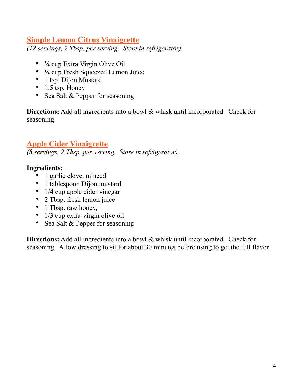#### **Simple Lemon Citrus Vinaigrette**

*(12 servings, 2 Tbsp. per serving. Store in refrigerator)* 

- $\frac{3}{4}$  cup Extra Virgin Olive Oil
- $\frac{1}{4}$  cup Fresh Squeezed Lemon Juice
- 1 tsp. Dijon Mustard
- $\bullet$  1.5 tsp. Honey
- Sea Salt & Pepper for seasoning

**Directions:** Add all ingredients into a bowl & whisk until incorporated. Check for seasoning.

#### **Apple Cider Vinaigrette**

*(8 servings, 2 Tbsp. per serving. Store in refrigerator)* 

#### **Ingredients:**

- 1 garlic clove, minced
- 1 tablespoon Dijon mustard
- 1/4 cup apple cider vinegar
- 2 Tbsp. fresh lemon juice
- 1 Tbsp. raw honey,
- 1/3 cup extra-virgin olive oil
- Sea Salt & Pepper for seasoning

**Directions:** Add all ingredients into a bowl & whisk until incorporated. Check for seasoning. Allow dressing to sit for about 30 minutes before using to get the full flavor!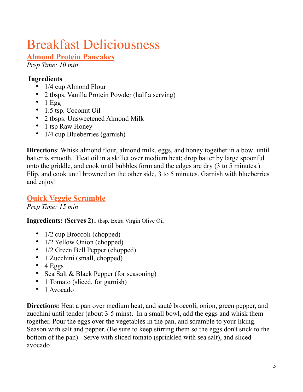# Breakfast Deliciousness

#### **Almond Protein Pancakes**

*Prep Time: 10 min*

#### **Ingredients**

- 1/4 cup Almond Flour
- 2 tbsps. Vanilla Protein Powder (half a serving)
- $\bullet$  1 Egg
- 1.5 tsp. Coconut Oil
- 2 tbsps. Unsweetened Almond Milk
- 1 tsp Raw Honey
- 1/4 cup Blueberries (garnish)

**Directions**: Whisk almond flour, almond milk, eggs, and honey together in a bowl until batter is smooth. Heat oil in a skillet over medium heat; drop batter by large spoonful onto the griddle, and cook until bubbles form and the edges are dry (3 to 5 minutes.) Flip, and cook until browned on the other side, 3 to 5 minutes. Garnish with blueberries and enjoy!

#### **Quick Veggie Scramble**

*Prep Time: 15 min*

**Ingredients: (Serves 2)**1 tbsp. Extra Virgin Olive Oil

- 1/2 cup Broccoli (chopped)
- 1/2 Yellow Onion (chopped)
- 1/2 Green Bell Pepper (chopped)
- 1 Zucchini (small, chopped)
- $\bullet$  4 Eggs
- Sea Salt & Black Pepper (for seasoning)
- 1 Tomato (sliced, for garnish)
- 1 Avocado

**Directions:** Heat a pan over medium heat, and sauté broccoli, onion, green pepper, and zucchini until tender (about 3-5 mins). In a small bowl, add the eggs and whisk them together. Pour the eggs over the vegetables in the pan, and scramble to your liking. Season with salt and pepper. (Be sure to keep stirring them so the eggs don't stick to the bottom of the pan). Serve with sliced tomato (sprinkled with sea salt), and sliced avocado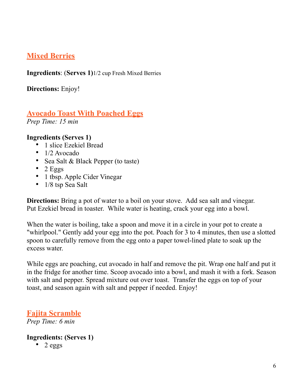#### **Mixed Berries**

**Ingredients**: (**Serves 1)**1/2 cup Fresh Mixed Berries

**Directions:** Enjoy!

### **Avocado Toast With Poached Eggs**

*Prep Time: 15 min* 

#### **Ingredients (Serves 1)**

- 1 slice Ezekiel Bread
- 1/2 Avocado
- Sea Salt & Black Pepper (to taste)
- $\bullet$  2 Eggs
- 1 tbsp. Apple Cider Vinegar
- 1/8 tsp Sea Salt

**Directions:** Bring a pot of water to a boil on your stove. Add sea salt and vinegar. Put Ezekiel bread in toaster. While water is heating, crack your egg into a bowl.

When the water is boiling, take a spoon and move it in a circle in your pot to create a "whirlpool." Gently add your egg into the pot. Poach for 3 to 4 minutes, then use a slotted spoon to carefully remove from the egg onto a paper towel-lined plate to soak up the excess water.

While eggs are poaching, cut avocado in half and remove the pit. Wrap one half and put it in the fridge for another time. Scoop avocado into a bowl, and mash it with a fork. Season with salt and pepper. Spread mixture out over toast. Transfer the eggs on top of your toast, and season again with salt and pepper if needed. Enjoy!

**Fajita Scramble** *Prep Time: 6 min* 

#### **Ingredients: (Serves 1)**

• 2 eggs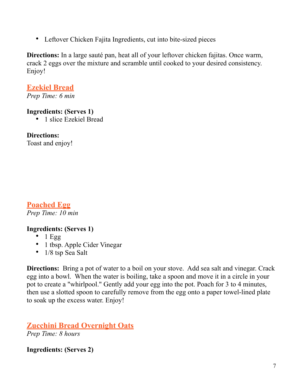• Leftover Chicken Fajita Ingredients, cut into bite-sized pieces

**Directions:** In a large sauté pan, heat all of your leftover chicken fajitas. Once warm, crack 2 eggs over the mixture and scramble until cooked to your desired consistency. Enjoy!

#### **Ezekiel Bread**

*Prep Time: 6 min* 

#### **Ingredients: (Serves 1)**

• 1 slice Ezekiel Bread

#### **Directions:**

Toast and enjoy!

#### **Poached Egg**  *Prep Time: 10 min*

#### **Ingredients: (Serves 1)**

- $\bullet$  1 Egg
- 1 tbsp. Apple Cider Vinegar
- 1/8 tsp Sea Salt

**Directions:** Bring a pot of water to a boil on your stove. Add sea salt and vinegar. Crack egg into a bowl. When the water is boiling, take a spoon and move it in a circle in your pot to create a "whirlpool." Gently add your egg into the pot. Poach for 3 to 4 minutes, then use a slotted spoon to carefully remove from the egg onto a paper towel-lined plate to soak up the excess water. Enjoy!

**Zucchini Bread Overnight Oats**  *Prep Time: 8 hours* 

**Ingredients: (Serves 2)**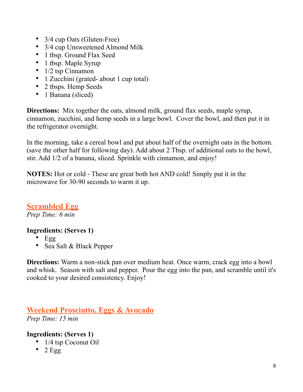- 3/4 cup Oats (Gluten-Free)
- 3/4 cup Unsweetened Almond Milk
- 1 tbsp. Ground Flax Seed
- 1 tbsp. Maple Syrup
- $\bullet$  1/2 tsp Cinnamon
- 1 Zucchini (grated-about 1 cup total)
- 2 tbsps. Hemp Seeds
- 1 Banana (sliced)

**Directions:** Mix together the oats, almond milk, ground flax seeds, maple syrup, cinnamon, zucchini, and hemp seeds in a large bowl. Cover the bowl, and then put it in the refrigerator overnight.

In the morning, take a cereal bowl and put about half of the overnight oats in the bottom. (save the other half for following day). Add about 2 Tbsp. of additional oats to the bowl, stir. Add 1/2 of a banana, sliced. Sprinkle with cinnamon, and enjoy!

**NOTES:** Hot or cold - These are great both hot AND cold! Simply put it in the microwave for 30-90 seconds to warm it up.

**Scrambled Egg**  *Prep Time: 6 min* 

#### **Ingredients: (Serves 1)**

- Egg
- Sea Salt & Black Pepper

**Directions:** Warm a non-stick pan over medium heat. Once warm, crack egg into a bowl and whisk. Season with salt and pepper. Pour the egg into the pan, and scramble until it's cooked to your desired consistency. Enjoy!

**Weekend Prosciutto, Eggs & Avocado**  *Prep Time: 15 min* 

#### **Ingredients: (Serves 1)**

- 1/4 tsp Coconut Oil
- $\bullet$  2 Egg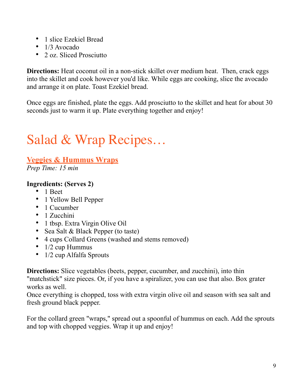- 1 slice Ezekiel Bread
- 1/3 Avocado
- 2 oz. Sliced Prosciutto

**Directions:** Heat coconut oil in a non-stick skillet over medium heat. Then, crack eggs into the skillet and cook however you'd like. While eggs are cooking, slice the avocado and arrange it on plate. Toast Ezekiel bread.

Once eggs are finished, plate the eggs. Add prosciutto to the skillet and heat for about 30 seconds just to warm it up. Plate everything together and enjoy!

### Salad & Wrap Recipes…

#### **Veggies & Hummus Wraps**

*Prep Time: 15 min* 

#### **Ingredients: (Serves 2)**

- 1 Beet
- 1 Yellow Bell Pepper
- 1 Cucumber
- 1 Zucchini
- 1 tbsp. Extra Virgin Olive Oil
- Sea Salt & Black Pepper (to taste)
- 4 cups Collard Greens (washed and stems removed)
- $1/2$  cup Hummus
- 1/2 cup Alfalfa Sprouts

**Directions:** Slice vegetables (beets, pepper, cucumber, and zucchini), into thin "matchstick" size pieces. Or, if you have a spiralizer, you can use that also. Box grater works as well.

Once everything is chopped, toss with extra virgin olive oil and season with sea salt and fresh ground black pepper.

For the collard green "wraps," spread out a spoonful of hummus on each. Add the sprouts and top with chopped veggies. Wrap it up and enjoy!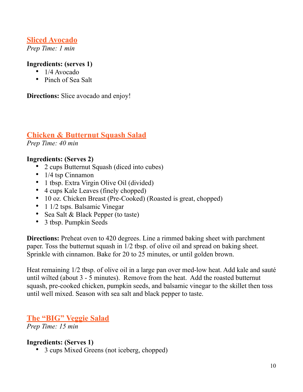#### **Sliced Avocado**

*Prep Time: 1 min* 

#### **Ingredients: (serves 1)**

- 1/4 Avocado
- Pinch of Sea Salt

**Directions:** Slice avocado and enjoy!

#### **Chicken & Butternut Squash Salad**

*Prep Time: 40 min* 

#### **Ingredients: (Serves 2)**

- 2 cups Butternut Squash (diced into cubes)
- 1/4 tsp Cinnamon
- 1 tbsp. Extra Virgin Olive Oil (divided)
- 4 cups Kale Leaves (finely chopped)
- 10 oz. Chicken Breast (Pre-Cooked) (Roasted is great, chopped)
- 1 1/2 tsps. Balsamic Vinegar
- Sea Salt & Black Pepper (to taste)
- 3 tbsp. Pumpkin Seeds

**Directions:** Preheat oven to 420 degrees. Line a rimmed baking sheet with parchment paper. Toss the butternut squash in 1/2 tbsp. of olive oil and spread on baking sheet. Sprinkle with cinnamon. Bake for 20 to 25 minutes, or until golden brown.

Heat remaining 1/2 tbsp. of olive oil in a large pan over med-low heat. Add kale and sauté until wilted (about 3 - 5 minutes). Remove from the heat. Add the roasted butternut squash, pre-cooked chicken, pumpkin seeds, and balsamic vinegar to the skillet then toss until well mixed. Season with sea salt and black pepper to taste.

#### **The "BIG" Veggie Salad**

*Prep Time: 15 min* 

#### **Ingredients: (Serves 1)**

• 3 cups Mixed Greens (not iceberg, chopped)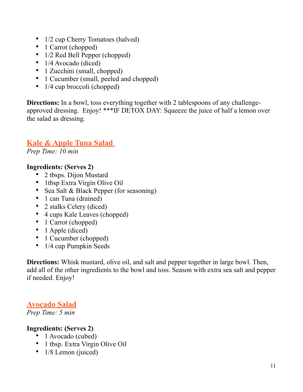- 1/2 cup Cherry Tomatoes (halved)
- 1 Carrot (chopped)
- 1/2 Red Bell Pepper (chopped)
- 1/4 Avocado (diced)
- 1 Zucchini (small, chopped)
- 1 Cucumber (small, peeled and chopped)
- 1/4 cup broccoli (chopped)

**Directions:** In a bowl, toss everything together with 2 tablespoons of any challengeapproved dressing. Enjoy! \*\*\*IF DETOX DAY: Squeeze the juice of half a lemon over the salad as dressing.

#### **Kale & Apple Tuna Salad**

*Prep Time: 10 min* 

#### **Ingredients: (Serves 2)**

- 2 tbsps. Dijon Mustard
- 1tbsp Extra Virgin Olive Oil
- Sea Salt & Black Pepper (for seasoning)
- 1 can Tuna (drained)
- 2 stalks Celery (diced)
- 4 cups Kale Leaves (chopped)
- 1 Carrot (chopped)
- 1 Apple (diced)
- 1 Cucumber (chopped)
- 1/4 cup Pumpkin Seeds

**Directions:** Whisk mustard, olive oil, and salt and pepper together in large bowl. Then, add all of the other ingredients to the bowl and toss. Season with extra sea salt and pepper if needed. Enjoy!

#### **Avocado Salad**

*Prep Time: 5 min* 

#### **Ingredients: (Serves 2)**

- 1 Avocado (cubed)
- 1 tbsp. Extra Virgin Olive Oil
- 1/8 Lemon (juiced)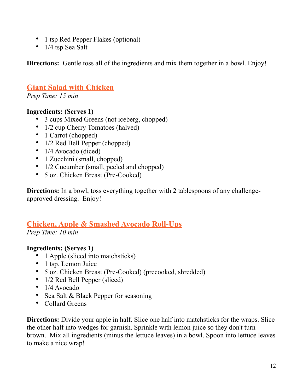- 1 tsp Red Pepper Flakes (optional)
- 1/4 tsp Sea Salt

**Directions:** Gentle toss all of the ingredients and mix them together in a bowl. Enjoy!

#### **Giant Salad with Chicken**

*Prep Time: 15 min* 

#### **Ingredients: (Serves 1)**

- 3 cups Mixed Greens (not iceberg, chopped)
- 1/2 cup Cherry Tomatoes (halved)
- 1 Carrot (chopped)
- 1/2 Red Bell Pepper (chopped)
- 1/4 Avocado (diced)
- 1 Zucchini (small, chopped)
- 1/2 Cucumber (small, peeled and chopped)
- 5 oz. Chicken Breast (Pre-Cooked)

**Directions:** In a bowl, toss everything together with 2 tablespoons of any challengeapproved dressing. Enjoy!

#### **Chicken, Apple & Smashed Avocado Roll-Ups**

*Prep Time: 10 min* 

#### **Ingredients: (Serves 1)**

- 1 Apple (sliced into matchsticks)
- 1 tsp. Lemon Juice
- 5 oz. Chicken Breast (Pre-Cooked) (precooked, shredded)
- 1/2 Red Bell Pepper (sliced)
- 1/4 Avocado
- Sea Salt & Black Pepper for seasoning
- Collard Greens

**Directions:** Divide your apple in half. Slice one half into matchsticks for the wraps. Slice the other half into wedges for garnish. Sprinkle with lemon juice so they don't turn brown. Mix all ingredients (minus the lettuce leaves) in a bowl. Spoon into lettuce leaves to make a nice wrap!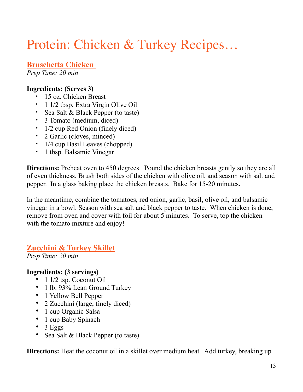### Protein: Chicken & Turkey Recipes…

#### **Bruschetta Chicken**

*Prep Time: 20 min* 

#### **Ingredients: (Serves 3)**

- 15 oz. Chicken Breast
- 1 1/2 tbsp. Extra Virgin Olive Oil
- Sea Salt & Black Pepper (to taste)
- 3 Tomato (medium, diced)
- 1/2 cup Red Onion (finely diced)
- 2 Garlic (cloves, minced)
- 1/4 cup Basil Leaves (chopped)
- 1 tbsp. Balsamic Vinegar

**Directions:** Preheat oven to 450 degrees.Pound the chicken breasts gently so they are all of even thickness. Brush both sides of the chicken with olive oil, and season with salt and pepper.In a glass baking place the chicken breasts. Bake for 15-20 minutes**.** 

In the meantime, combine the tomatoes, red onion, garlic, basil, olive oil, and balsamic vinegar in a bowl. Season with sea salt and black pepper to taste.When chicken is done, remove from oven and cover with foil for about 5 minutes.To serve, top the chicken with the tomato mixture and enjoy!

#### **Zucchini & Turkey Skillet**

*Prep Time: 20 min* 

#### **Ingredients: (3 servings)**

- 1 1/2 tsp. Coconut Oil
- 1 lb. 93% Lean Ground Turkey
- 1 Yellow Bell Pepper
- 2 Zucchini (large, finely diced)
- 1 cup Organic Salsa
- 1 cup Baby Spinach
- $\bullet$  3 Eggs
- Sea Salt & Black Pepper (to taste)

**Directions:** Heat the coconut oil in a skillet over medium heat. Add turkey, breaking up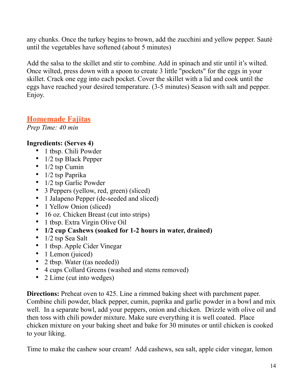any chunks. Once the turkey begins to brown, add the zucchini and yellow pepper. Sauté until the vegetables have softened (about 5 minutes)

Add the salsa to the skillet and stir to combine. Add in spinach and stir until it's wilted. Once wilted, press down with a spoon to create 3 little "pockets" for the eggs in your skillet. Crack one egg into each pocket. Cover the skillet with a lid and cook until the eggs have reached your desired temperature. (3-5 minutes) Season with salt and pepper. Enjoy.

#### **Homemade Fajitas**

*Prep Time: 40 min* 

#### **Ingredients: (Serves 4)**

- 1 tbsp. Chili Powder
- 1/2 tsp Black Pepper
- $\bullet$  1/2 tsp Cumin
- 1/2 tsp Paprika
- 1/2 tsp Garlic Powder
- 3 Peppers (yellow, red, green) (sliced)
- 1 Jalapeno Pepper (de-seeded and sliced)
- 1 Yellow Onion (sliced)
- 16 oz. Chicken Breast (cut into strips)
- 1 tbsp. Extra Virgin Olive Oil
- **1/2 cup Cashews (soaked for 1-2 hours in water, drained)**
- 1/2 tsp Sea Salt
- 1 tbsp. Apple Cider Vinegar
- 1 Lemon (juiced)
- 2 tbsp. Water ((as needed))
- 4 cups Collard Greens (washed and stems removed)
- 2 Lime (cut into wedges)

**Directions:** Preheat oven to 425. Line a rimmed baking sheet with parchment paper. Combine chili powder, black pepper, cumin, paprika and garlic powder in a bowl and mix well. In a separate bowl, add your peppers, onion and chicken. Drizzle with olive oil and then toss with chili powder mixture. Make sure everything it is well coated. Place chicken mixture on your baking sheet and bake for 30 minutes or until chicken is cooked to your liking.

Time to make the cashew sour cream! Add cashews, sea salt, apple cider vinegar, lemon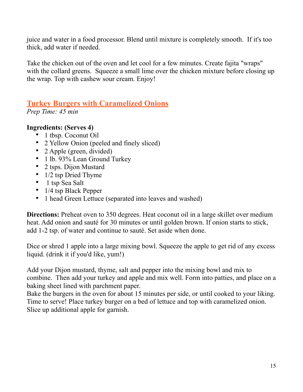juice and water in a food processor. Blend until mixture is completely smooth. If it's too thick, add water if needed.

Take the chicken out of the oven and let cool for a few minutes. Create fajita "wraps" with the collard greens. Squeeze a small lime over the chicken mixture before closing up the wrap. Top with cashew sour cream. Enjoy!

#### **Turkey Burgers with Caramelized Onions**

*Prep Time: 45 min* 

#### **Ingredients: (Serves 4)**

- 1 tbsp. Coconut Oil
- 2 Yellow Onion (peeled and finely sliced)
- 2 Apple (green, divided)
- 1 lb. 93% Lean Ground Turkey
- 2 tsps. Dijon Mustard
- 1/2 tsp Dried Thyme
- 1 tsp Sea Salt
- 1/4 tsp Black Pepper
- 1 head Green Lettuce (separated into leaves and washed)

**Directions:** Preheat oven to 350 degrees. Heat coconut oil in a large skillet over medium heat. Add onion and sauté for 30 minutes or until golden brown. If onion starts to stick, add 1-2 tsp. of water and continue to sauté. Set aside when done.

Dice or shred 1 apple into a large mixing bowl. Squeeze the apple to get rid of any excess liquid. (drink it if you'd like, yum!)

Add your Dijon mustard, thyme, salt and pepper into the mixing bowl and mix to combine. Then add your turkey and apple and mix well. Form into patties, and place on a baking sheet lined with parchment paper.

Bake the burgers in the oven for about 15 minutes per side, or until cooked to your liking. Time to serve! Place turkey burger on a bed of lettuce and top with caramelized onion. Slice up additional apple for garnish.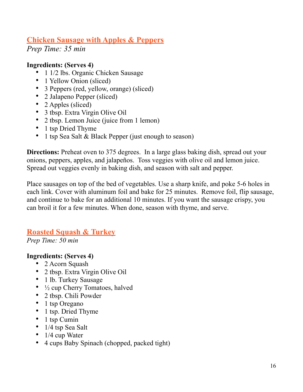#### **Chicken Sausage with Apples & Peppers**

*Prep Time: 35 min* 

#### **Ingredients: (Serves 4)**

- 1 1/2 lbs. Organic Chicken Sausage
- 1 Yellow Onion (sliced)
- 3 Peppers (red, yellow, orange) (sliced)
- 2 Jalapeno Pepper (sliced)
- 2 Apples (sliced)
- 3 tbsp. Extra Virgin Olive Oil
- 2 tbsp. Lemon Juice (juice from 1 lemon)
- 1 tsp Dried Thyme
- 1 tsp Sea Salt & Black Pepper (just enough to season)

**Directions:** Preheat oven to 375 degrees. In a large glass baking dish, spread out your onions, peppers, apples, and jalapeños. Toss veggies with olive oil and lemon juice. Spread out veggies evenly in baking dish, and season with salt and pepper.

Place sausages on top of the bed of vegetables. Use a sharp knife, and poke 5-6 holes in each link. Cover with aluminum foil and bake for 25 minutes. Remove foil, flip sausage, and continue to bake for an additional 10 minutes. If you want the sausage crispy, you can broil it for a few minutes. When done, season with thyme, and serve.

#### **Roasted Squash & Turkey**

*Prep Time: 50 min* 

#### **Ingredients: (Serves 4)**

- 2 Acorn Squash
- 2 tbsp. Extra Virgin Olive Oil
- 1 lb. Turkey Sausage
- $\frac{1}{2}$  cup Cherry Tomatoes, halved
- 2 tbsp. Chili Powder
- 1 tsp Oregano
- 1 tsp. Dried Thyme
- 1 tsp Cumin
- 1/4 tsp Sea Salt
- 1/4 cup Water
- 4 cups Baby Spinach (chopped, packed tight)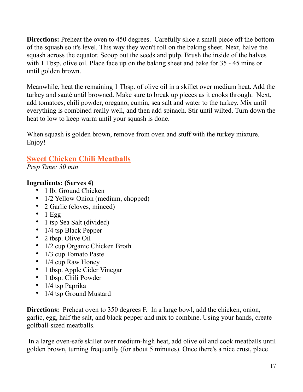**Directions:** Preheat the oven to 450 degrees. Carefully slice a small piece off the bottom of the squash so it's level. This way they won't roll on the baking sheet. Next, halve the squash across the equator. Scoop out the seeds and pulp. Brush the inside of the halves with 1 Tbsp. olive oil. Place face up on the baking sheet and bake for 35 - 45 mins or until golden brown.

Meanwhile, heat the remaining 1 Tbsp. of olive oil in a skillet over medium heat. Add the turkey and sauté until browned. Make sure to break up pieces as it cooks through. Next, add tomatoes, chili powder, oregano, cumin, sea salt and water to the turkey. Mix until everything is combined really well, and then add spinach. Stir until wilted. Turn down the heat to low to keep warm until your squash is done.

When squash is golden brown, remove from oven and stuff with the turkey mixture. Enjoy!

#### **Sweet Chicken Chili Meatballs**

*Prep Time: 30 min* 

#### **Ingredients: (Serves 4)**

- 1 lb. Ground Chicken
- 1/2 Yellow Onion (medium, chopped)
- 2 Garlic (cloves, minced)
- $\bullet$  1 Egg
- 1 tsp Sea Salt (divided)
- 1/4 tsp Black Pepper
- 2 tbsp. Olive Oil
- 1/2 cup Organic Chicken Broth
- 1/3 cup Tomato Paste
- 1/4 cup Raw Honey
- 1 tbsp. Apple Cider Vinegar
- 1 tbsp. Chili Powder
- 1/4 tsp Paprika
- 1/4 tsp Ground Mustard

**Directions:** Preheat oven to 350 degrees F. In a large bowl, add the chicken, onion, garlic, egg, half the salt, and black pepper and mix to combine. Using your hands, create golfball-sized meatballs.

 In a large oven-safe skillet over medium-high heat, add olive oil and cook meatballs until golden brown, turning frequently (for about 5 minutes). Once there's a nice crust, place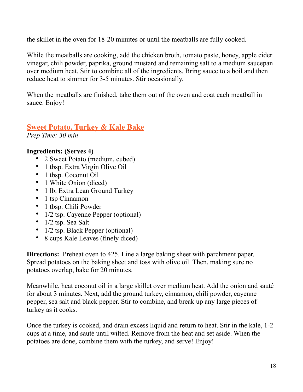the skillet in the oven for 18-20 minutes or until the meatballs are fully cooked.

While the meatballs are cooking, add the chicken broth, tomato paste, honey, apple cider vinegar, chili powder, paprika, ground mustard and remaining salt to a medium saucepan over medium heat. Stir to combine all of the ingredients. Bring sauce to a boil and then reduce heat to simmer for 3-5 minutes. Stir occasionally.

When the meatballs are finished, take them out of the oven and coat each meatball in sauce. Enjoy!

#### **Sweet Potato, Turkey & Kale Bake**

*Prep Time: 30 min* 

#### **Ingredients: (Serves 4)**

- 2 Sweet Potato (medium, cubed)
- 1 tbsp. Extra Virgin Olive Oil
- 1 tbsp. Coconut Oil
- 1 White Onion (diced)
- 1 lb. Extra Lean Ground Turkey
- 1 tsp Cinnamon
- 1 tbsp. Chili Powder
- 1/2 tsp. Cayenne Pepper (optional)
- 1/2 tsp. Sea Salt
- 1/2 tsp. Black Pepper (optional)
- 8 cups Kale Leaves (finely diced)

**Directions:** Preheat oven to 425. Line a large baking sheet with parchment paper. Spread potatoes on the baking sheet and toss with olive oil. Then, making sure no potatoes overlap, bake for 20 minutes.

Meanwhile, heat coconut oil in a large skillet over medium heat. Add the onion and sauté for about 3 minutes. Next, add the ground turkey, cinnamon, chili powder, cayenne pepper, sea salt and black pepper. Stir to combine, and break up any large pieces of turkey as it cooks.

Once the turkey is cooked, and drain excess liquid and return to heat. Stir in the kale, 1-2 cups at a time, and sauté until wilted. Remove from the heat and set aside. When the potatoes are done, combine them with the turkey, and serve! Enjoy!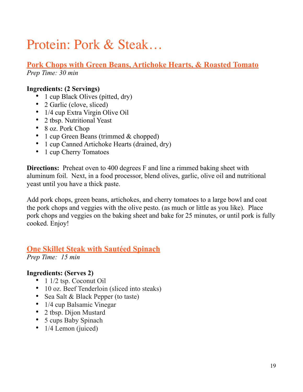### Protein: Pork & Steak…

**Pork Chops with Green Beans, Artichoke Hearts, & Roasted Tomato** *Prep Time: 30 min* 

#### **Ingredients: (2 Servings)**

- 1 cup Black Olives (pitted, dry)
- 2 Garlic (clove, sliced)
- 1/4 cup Extra Virgin Olive Oil
- 2 tbsp. Nutritional Yeast
- 8 oz. Pork Chop
- 1 cup Green Beans (trimmed & chopped)
- 1 cup Canned Artichoke Hearts (drained, dry)
- 1 cup Cherry Tomatoes

**Directions:** Preheat oven to 400 degrees F and line a rimmed baking sheet with aluminum foil. Next, in a food processor, blend olives, garlic, olive oil and nutritional yeast until you have a thick paste.

Add pork chops, green beans, artichokes, and cherry tomatoes to a large bowl and coat the pork chops and veggies with the olive pesto. (as much or little as you like). Place pork chops and veggies on the baking sheet and bake for 25 minutes, or until pork is fully cooked. Enjoy!

#### **One Skillet Steak with Sautéed Spinach**

*Prep Time: 15 min* 

#### **Ingredients: (Serves 2)**

- 1 1/2 tsp. Coconut Oil
- 10 oz. Beef Tenderloin (sliced into steaks)
- Sea Salt & Black Pepper (to taste)
- 1/4 cup Balsamic Vinegar
- 2 tbsp. Dijon Mustard
- 5 cups Baby Spinach
- 1/4 Lemon (juiced)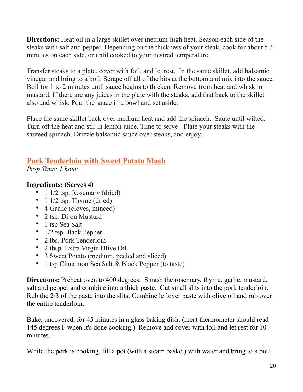**Directions:** Heat oil in a large skillet over medium-high heat. Season each side of the steaks with salt and pepper. Depending on the thickness of your steak, cook for about 5-6 minutes on each side, or until cooked to your desired temperature.

Transfer steaks to a plate, cover with foil, and let rest. In the same skillet, add balsamic vinegar and bring to a boil. Scrape off all of the bits at the bottom and mix into the sauce. Boil for 1 to 2 minutes until sauce begins to thicken. Remove from heat and whisk in mustard. If there are any juices in the plate with the steaks, add that back to the skillet also and whisk. Pour the sauce in a bowl and set aside.

Place the same skillet back over medium heat and add the spinach. Sauté until wilted. Turn off the heat and stir in lemon juice. Time to serve! Plate your steaks with the sautéed spinach. Drizzle balsamic sauce over steaks, and enjoy.

#### **Pork Tenderloin with Sweet Potato Mash**

*Prep Time: 1 hour* 

#### **Ingredients: (Serves 4)**

- 1 1/2 tsp. Rosemary (dried)
- 1  $1/2$  tsp. Thyme (dried)
- 4 Garlic (cloves, minced)
- 2 tsp. Dijon Mustard
- 1 tsp Sea Salt
- 1/2 tsp Black Pepper
- 2 lbs. Pork Tenderloin
- 2 tbsp. Extra Virgin Olive Oil
- 3 Sweet Potato (medium, peeled and sliced)
- 1 tsp Cinnamon Sea Salt & Black Pepper (to taste)

**Directions:** Preheat oven to 400 degrees. Smash the rosemary, thyme, garlic, mustard, salt and pepper and combine into a thick paste. Cut small slits into the pork tenderloin. Rub the 2/3 of the paste into the slits. Combine leftover paste with olive oil and rub over the entire tenderloin.

Bake, uncovered, for 45 minutes in a glass baking dish. (meat thermometer should read 145 degrees F when it's done cooking.) Remove and cover with foil and let rest for 10 minutes.

While the pork is cooking, fill a pot (with a steam basket) with water and bring to a boil.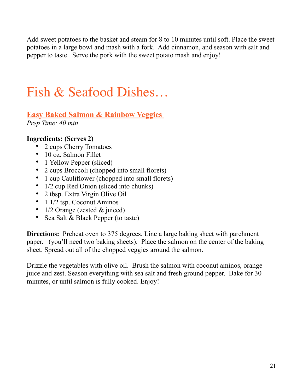Add sweet potatoes to the basket and steam for 8 to 10 minutes until soft. Place the sweet potatoes in a large bowl and mash with a fork. Add cinnamon, and season with salt and pepper to taste. Serve the pork with the sweet potato mash and enjoy!

### Fish & Seafood Dishes…

### **Easy Baked Salmon & Rainbow Veggies**

*Prep Time: 40 min*

#### **Ingredients: (Serves 2)**

- 2 cups Cherry Tomatoes
- 10 oz. Salmon Fillet
- 1 Yellow Pepper (sliced)
- 2 cups Broccoli (chopped into small florets)
- 1 cup Cauliflower (chopped into small florets)
- 1/2 cup Red Onion (sliced into chunks)
- 2 tbsp. Extra Virgin Olive Oil
- 1 1/2 tsp. Coconut Aminos
- 1/2 Orange (zested & juiced)
- Sea Salt & Black Pepper (to taste)

**Directions:** Preheat oven to 375 degrees. Line a large baking sheet with parchment paper. (you'll need two baking sheets). Place the salmon on the center of the baking sheet. Spread out all of the chopped veggies around the salmon.

Drizzle the vegetables with olive oil. Brush the salmon with coconut aminos, orange juice and zest. Season everything with sea salt and fresh ground pepper. Bake for 30 minutes, or until salmon is fully cooked. Enjoy!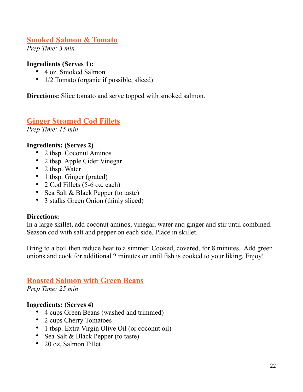#### **Smoked Salmon & Tomato**

*Prep Time: 3 min*

#### **Ingredients (Serves 1):**

- 4 oz. Smoked Salmon
- 1/2 Tomato (organic if possible, sliced)

**Directions:** Slice tomato and serve topped with smoked salmon.

#### **Ginger Steamed Cod Fillets**

*Prep Time: 15 min* 

#### **Ingredients: (Serves 2)**

- 2 tbsp. Coconut Aminos
- 2 tbsp. Apple Cider Vinegar
- 2 tbsp. Water
- 1 tbsp. Ginger (grated)
- 2 Cod Fillets (5-6 oz. each)
- Sea Salt & Black Pepper (to taste)
- 3 stalks Green Onion (thinly sliced)

#### **Directions:**

In a large skillet, add coconut aminos, vinegar, water and ginger and stir until combined. Season cod with salt and pepper on each side. Place in skillet.

Bring to a boil then reduce heat to a simmer. Cooked, covered, for 8 minutes. Add green onions and cook for additional 2 minutes or until fish is cooked to your liking. Enjoy!

#### **Roasted Salmon with Green Beans**

*Prep Time: 25 min*

#### **Ingredients: (Serves 4)**

- 4 cups Green Beans (washed and trimmed)
- 2 cups Cherry Tomatoes
- 1 tbsp. Extra Virgin Olive Oil (or coconut oil)
- Sea Salt & Black Pepper (to taste)
- 20 oz. Salmon Fillet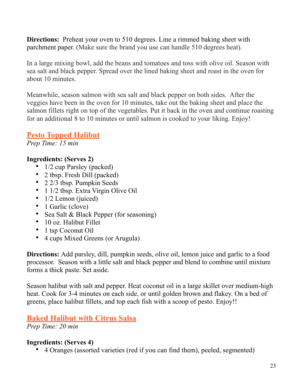**Directions:** Preheat your oven to 510 degrees. Line a rimmed baking sheet with parchment paper. (Make sure the brand you use can handle 510 degrees heat).

In a large mixing bowl, add the beans and tomatoes and toss with olive oil. Season with sea salt and black pepper. Spread over the lined baking sheet and roast in the oven for about 10 minutes.

Meanwhile, season salmon with sea salt and black pepper on both sides. After the veggies have been in the oven for 10 minutes, take out the baking sheet and place the salmon fillets right on top of the vegetables. Put it back in the oven and continue roasting for an additional 8 to 10 minutes or until salmon is cooked to your liking. Enjoy!

#### **Pesto Topped Halibut**

*Prep Time: 15 min*

#### **Ingredients: (Serves 2)**

- 1/2 cup Parsley (packed)
- 2 tbsp. Fresh Dill (packed)
- 2 2/3 tbsp. Pumpkin Seeds
- 1 1/2 tbsp. Extra Virgin Olive Oil
- 1/2 Lemon (juiced)
- 1 Garlic (clove)
- Sea Salt & Black Pepper (for seasoning)
- 10 oz. Halibut Fillet
- 1 tsp Coconut Oil
- 4 cups Mixed Greens (or Arugula)

**Directions:** Add parsley, dill, pumpkin seeds, olive oil, lemon juice and garlic to a food processor. Season with a little salt and black pepper and blend to combine until mixture forms a thick paste. Set aside.

Season halibut with salt and pepper. Heat coconut oil in a large skillet over medium-high heat. Cook for 3-4 minutes on each side, or until golden brown and flakey. On a bed of greens, place halibut fillets, and top each fish with a scoop of pesto. Enjoy!!

#### **Baked Halibut with Citrus Salsa**

*Prep Time: 20 min*

#### **Ingredients: (Serves 4)**

• 4 Oranges (assorted varieties (red if you can find them), peeled, segmented)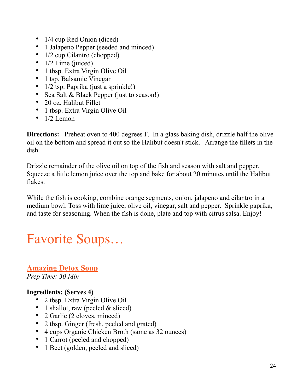- 1/4 cup Red Onion (diced)
- 1 Jalapeno Pepper (seeded and minced)
- 1/2 cup Cilantro (chopped)
- $1/2$  Lime (juiced)
- 1 tbsp. Extra Virgin Olive Oil
- 1 tsp. Balsamic Vinegar
- 1/2 tsp. Paprika (just a sprinkle!)
- Sea Salt & Black Pepper (just to season!)
- 20 oz. Halibut Fillet
- 1 tbsp. Extra Virgin Olive Oil
- $\bullet$  1/2 Lemon

**Directions:** Preheat oven to 400 degrees F. In a glass baking dish, drizzle half the olive oil on the bottom and spread it out so the Halibut doesn't stick. Arrange the fillets in the dish.

Drizzle remainder of the olive oil on top of the fish and season with salt and pepper. Squeeze a little lemon juice over the top and bake for about 20 minutes until the Halibut flakes.

While the fish is cooking, combine orange segments, onion, jalapeno and cilantro in a medium bowl. Toss with lime juice, olive oil, vinegar, salt and pepper. Sprinkle paprika, and taste for seasoning. When the fish is done, plate and top with citrus salsa. Enjoy!

### Favorite Soups…

**Amazing Detox Soup**  *Prep Time: 30 Min*

#### **Ingredients: (Serves 4)**

- 2 tbsp. Extra Virgin Olive Oil
- 1 shallot, raw (peeled  $&$  sliced)
- 2 Garlic (2 cloves, minced)
- 2 tbsp. Ginger (fresh, peeled and grated)
- 4 cups Organic Chicken Broth (same as 32 ounces)
- 1 Carrot (peeled and chopped)
- 1 Beet (golden, peeled and sliced)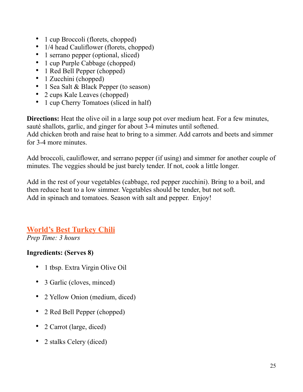- 1 cup Broccoli (florets, chopped)
- 1/4 head Cauliflower (florets, chopped)
- 1 serrano pepper (optional, sliced)
- 1 cup Purple Cabbage (chopped)
- 1 Red Bell Pepper (chopped)
- 1 Zucchini (chopped)
- 1 Sea Salt & Black Pepper (to season)
- 2 cups Kale Leaves (chopped)
- 1 cup Cherry Tomatoes (sliced in half)

**Directions:** Heat the olive oil in a large soup pot over medium heat. For a few minutes, sauté shallots, garlic, and ginger for about 3-4 minutes until softened.

Add chicken broth and raise heat to bring to a simmer. Add carrots and beets and simmer for 3-4 more minutes.

Add broccoli, cauliflower, and serrano pepper (if using) and simmer for another couple of minutes. The veggies should be just barely tender. If not, cook a little longer.

Add in the rest of your vegetables (cabbage, red pepper zucchini). Bring to a boil, and then reduce heat to a low simmer. Vegetables should be tender, but not soft. Add in spinach and tomatoes. Season with salt and pepper. Enjoy!

#### **World's Best Turkey Chili**

*Prep Time: 3 hours* 

#### **Ingredients: (Serves 8)**

- 1 tbsp. Extra Virgin Olive Oil
- 3 Garlic (cloves, minced)
- 2 Yellow Onion (medium, diced)
- 2 Red Bell Pepper (chopped)
- 2 Carrot (large, diced)
- 2 stalks Celery (diced)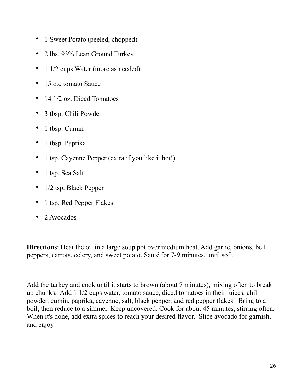- 1 Sweet Potato (peeled, chopped)
- 2 lbs. 93% Lean Ground Turkey
- 1 1/2 cups Water (more as needed)
- 15 oz. tomato Sauce
- 14 1/2 oz. Diced Tomatoes
- 3 tbsp. Chili Powder
- 1 tbsp. Cumin
- 1 tbsp. Paprika
- 1 tsp. Cayenne Pepper (extra if you like it hot!)
- 1 tsp. Sea Salt
- 1/2 tsp. Black Pepper
- 1 tsp. Red Pepper Flakes
- 2 Avocados

**Directions**: Heat the oil in a large soup pot over medium heat. Add garlic, onions, bell peppers, carrots, celery, and sweet potato. Sauté́ for 7-9 minutes, until soft.

Add the turkey and cook until it starts to brown (about 7 minutes), mixing often to break up chunks. Add 1 1/2 cups water, tomato sauce, diced tomatoes in their juices, chili powder, cumin, paprika, cayenne, salt, black pepper, and red pepper flakes. Bring to a boil, then reduce to a simmer. Keep uncovered. Cook for about 45 minutes, stirring often. When it's done, add extra spices to reach your desired flavor. Slice avocado for garnish, and enjoy!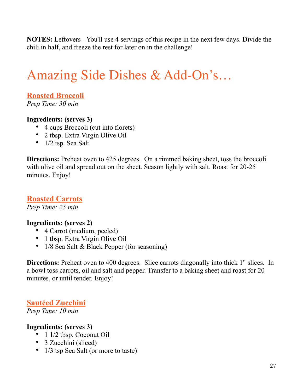**NOTES:** Leftovers - You'll use 4 servings of this recipe in the next few days. Divide the chili in half, and freeze the rest for later on in the challenge!

### Amazing Side Dishes & Add-On's…

#### **Roasted Broccoli**

*Prep Time: 30 min* 

#### **Ingredients: (serves 3)**

- 4 cups Broccoli (cut into florets)
- 2 tbsp. Extra Virgin Olive Oil
- 1/2 tsp. Sea Salt

**Directions:** Preheat oven to 425 degrees. On a rimmed baking sheet, toss the broccoli with olive oil and spread out on the sheet. Season lightly with salt. Roast for 20-25 minutes. Enjoy!

#### **Roasted Carrots**

*Prep Time: 25 min* 

#### **Ingredients: (serves 2)**

- 4 Carrot (medium, peeled)
- 1 tbsp. Extra Virgin Olive Oil
- 1/8 Sea Salt & Black Pepper (for seasoning)

**Directions:** Preheat oven to 400 degrees. Slice carrots diagonally into thick 1" slices. In a bowl toss carrots, oil and salt and pepper. Transfer to a baking sheet and roast for 20 minutes, or until tender. Enjoy!

#### **Sautéed Zucchini**

*Prep Time: 10 min* 

#### **Ingredients: (serves 3)**

- 1 1/2 tbsp. Coconut Oil
- 3 Zucchini (sliced)
- 1/3 tsp Sea Salt (or more to taste)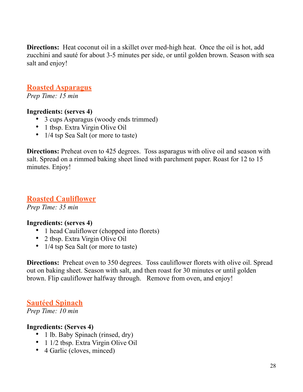**Directions:** Heat coconut oil in a skillet over med-high heat. Once the oil is hot, add zucchini and sauté for about 3-5 minutes per side, or until golden brown. Season with sea salt and enjoy!

#### **Roasted Asparagus**

*Prep Time: 15 min* 

#### **Ingredients: (serves 4)**

- 3 cups Asparagus (woody ends trimmed)
- 1 tbsp. Extra Virgin Olive Oil
- 1/4 tsp Sea Salt (or more to taste)

**Directions:** Preheat oven to 425 degrees. Toss asparagus with olive oil and season with salt. Spread on a rimmed baking sheet lined with parchment paper. Roast for 12 to 15 minutes. Enjoy!

#### **Roasted Cauliflower**

*Prep Time: 35 min* 

#### **Ingredients: (serves 4)**

- 1 head Cauliflower (chopped into florets)
- 2 tbsp. Extra Virgin Olive Oil
- 1/4 tsp Sea Salt (or more to taste)

**Directions:** Preheat oven to 350 degrees. Toss cauliflower florets with olive oil. Spread out on baking sheet. Season with salt, and then roast for 30 minutes or until golden brown. Flip cauliflower halfway through.Remove from oven, and enjoy!

#### **Sautéed Spinach**

*Prep Time: 10 min* 

#### **Ingredients: (Serves 4)**

- 1 lb. Baby Spinach (rinsed, dry)
- 1 1/2 tbsp. Extra Virgin Olive Oil
- 4 Garlic (cloves, minced)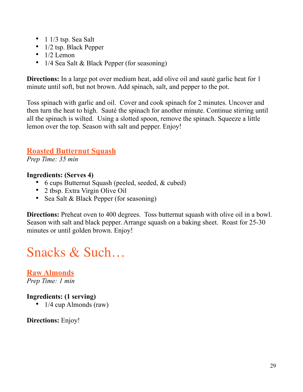- 1  $1/3$  tsp. Sea Salt
- 1/2 tsp. Black Pepper
- $\bullet$  1/2 Lemon
- 1/4 Sea Salt & Black Pepper (for seasoning)

**Directions:** In a large pot over medium heat, add olive oil and sauté garlic heat for 1 minute until soft, but not brown. Add spinach, salt, and pepper to the pot.

Toss spinach with garlic and oil. Cover and cook spinach for 2 minutes. Uncover and then turn the heat to high. Sauté the spinach for another minute. Continue stirring until all the spinach is wilted. Using a slotted spoon, remove the spinach. Squeeze a little lemon over the top. Season with salt and pepper. Enjoy!

#### **Roasted Butternut Squash**

*Prep Time: 35 min* 

#### **Ingredients: (Serves 4)**

- 6 cups Butternut Squash (peeled, seeded, & cubed)
- 2 tbsp. Extra Virgin Olive Oil
- Sea Salt & Black Pepper (for seasoning)

**Directions:** Preheat oven to 400 degrees. Toss butternut squash with olive oil in a bowl. Season with salt and black pepper. Arrange squash on a baking sheet. Roast for 25-30 minutes or until golden brown. Enjoy!

### Snacks & Such…

**Raw Almonds** *Prep Time: 1 min* 

#### **Ingredients: (1 serving)**

• 1/4 cup Almonds (raw)

**Directions:** Enjoy!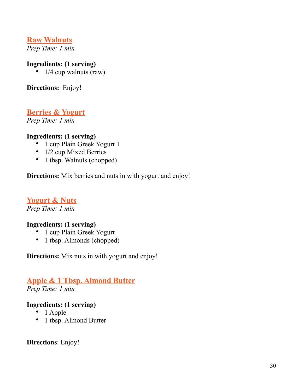#### **Raw Walnuts**

*Prep Time: 1 min* 

#### **Ingredients: (1 serving)**

•  $1/4$  cup walnuts (raw)

**Directions:** Enjoy!

#### **Berries & Yogurt**

*Prep Time: 1 min*

#### **Ingredients: (1 serving)**

- 1 cup Plain Greek Yogurt 1
- 1/2 cup Mixed Berries
- 1 tbsp. Walnuts (chopped)

**Directions:** Mix berries and nuts in with yogurt and enjoy!

#### **Yogurt & Nuts**

*Prep Time: 1 min*

#### **Ingredients: (1 serving)**

- 1 cup Plain Greek Yogurt
- 1 tbsp. Almonds (chopped)

**Directions:** Mix nuts in with yogurt and enjoy!

#### **Apple & 1 Tbsp. Almond Butter**

*Prep Time: 1 min* 

#### **Ingredients: (1 serving)**

- 1 Apple
- 1 tbsp. Almond Butter

**Directions**: Enjoy!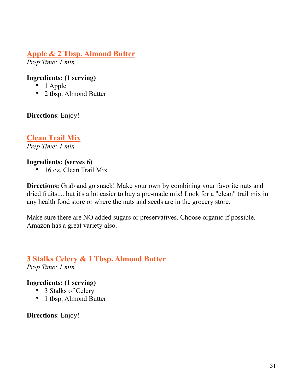#### **Apple & 2 Tbsp. Almond Butter**

*Prep Time: 1 min* 

#### **Ingredients: (1 serving)**

- 1 Apple
- 2 tbsp. Almond Butter

**Directions**: Enjoy!

#### **Clean Trail Mix**

*Prep Time: 1 min*

#### **Ingredients: (serves 6)**

• 16 oz. Clean Trail Mix

**Directions:** Grab and go snack! Make your own by combining your favorite nuts and dried fruits.... but it's a lot easier to buy a pre-made mix! Look for a "clean" trail mix in any health food store or where the nuts and seeds are in the grocery store.

Make sure there are NO added sugars or preservatives. Choose organic if possible. Amazon has a great variety also.

#### **3 Stalks Celery & 1 Tbsp. Almond Butter**

*Prep Time: 1 min* 

#### **Ingredients: (1 serving)**

- 3 Stalks of Celery
- 1 tbsp. Almond Butter

**Directions**: Enjoy!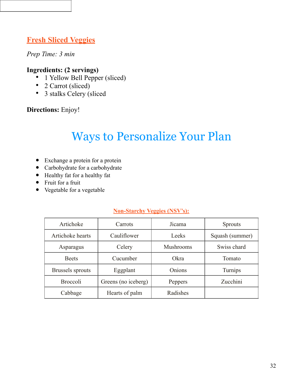#### **Fresh Sliced Veggies**

#### *Prep Time: 3 min*

#### **Ingredients: (2 servings)**

- 1 Yellow Bell Pepper (sliced)
- 2 Carrot (sliced)
- 3 stalks Celery (sliced

#### **Directions:** Enjoy!

### Ways to Personalize Your Plan

- Exchange a protein for a protein
- Carbohydrate for a carbohydrate
- Healthy fat for a healthy fat
- Fruit for a fruit
- Vegetable for a vegetable

#### **Non-Starchy Veggies (NSV's):**

| Artichoke               | Carrots             | Jicama           | <b>Sprouts</b>  |
|-------------------------|---------------------|------------------|-----------------|
| Artichoke hearts        | Cauliflower         | Leeks            | Squash (summer) |
| Asparagus               | Celery              | <b>Mushrooms</b> | Swiss chard     |
| <b>Beets</b>            | Cucumber            | Okra             | Tomato          |
| <b>Brussels</b> sprouts | Eggplant            | Onions           | Turnips         |
| <b>Broccoli</b>         | Greens (no iceberg) | Peppers          | Zucchini        |
| Cabbage                 | Hearts of palm      | Radishes         |                 |